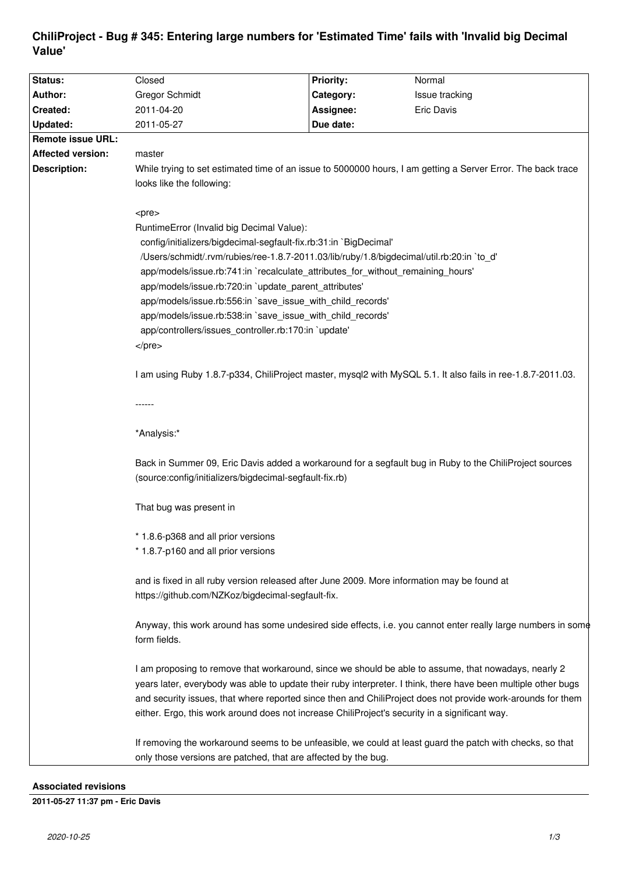# **ChiliProject - Bug # 345: Entering large numbers for 'Estimated Time' fails with 'Invalid big Decimal Value'**

| Status:                  | Closed                                                                                                                                                                                                 | <b>Priority:</b> | Normal                                                                                                                                                                                                                        |
|--------------------------|--------------------------------------------------------------------------------------------------------------------------------------------------------------------------------------------------------|------------------|-------------------------------------------------------------------------------------------------------------------------------------------------------------------------------------------------------------------------------|
| Author:                  | <b>Gregor Schmidt</b>                                                                                                                                                                                  | Category:        | Issue tracking                                                                                                                                                                                                                |
| Created:                 | 2011-04-20                                                                                                                                                                                             | Assignee:        | Eric Davis                                                                                                                                                                                                                    |
| <b>Updated:</b>          | 2011-05-27                                                                                                                                                                                             | Due date:        |                                                                                                                                                                                                                               |
| <b>Remote issue URL:</b> |                                                                                                                                                                                                        |                  |                                                                                                                                                                                                                               |
| <b>Affected version:</b> | master                                                                                                                                                                                                 |                  |                                                                                                                                                                                                                               |
| <b>Description:</b>      | While trying to set estimated time of an issue to 5000000 hours, I am getting a Server Error. The back trace                                                                                           |                  |                                                                                                                                                                                                                               |
|                          | looks like the following:                                                                                                                                                                              |                  |                                                                                                                                                                                                                               |
|                          |                                                                                                                                                                                                        |                  |                                                                                                                                                                                                                               |
|                          | <pre></pre>                                                                                                                                                                                            |                  |                                                                                                                                                                                                                               |
|                          | RuntimeError (Invalid big Decimal Value):                                                                                                                                                              |                  |                                                                                                                                                                                                                               |
|                          | config/initializers/bigdecimal-segfault-fix.rb:31:in `BigDecimal'                                                                                                                                      |                  |                                                                                                                                                                                                                               |
|                          | /Users/schmidt/.rvm/rubies/ree-1.8.7-2011.03/lib/ruby/1.8/bigdecimal/util.rb:20:in `to_d'                                                                                                              |                  |                                                                                                                                                                                                                               |
|                          | app/models/issue.rb:741:in `recalculate_attributes_for_without_remaining_hours'                                                                                                                        |                  |                                                                                                                                                                                                                               |
|                          | app/models/issue.rb:720:in `update_parent_attributes'                                                                                                                                                  |                  |                                                                                                                                                                                                                               |
|                          | app/models/issue.rb:556:in `save_issue_with_child_records'                                                                                                                                             |                  |                                                                                                                                                                                                                               |
|                          | app/models/issue.rb:538:in `save issue with child records'                                                                                                                                             |                  |                                                                                                                                                                                                                               |
|                          | app/controllers/issues_controller.rb:170:in `update'                                                                                                                                                   |                  |                                                                                                                                                                                                                               |
|                          | $<$ /pre $>$                                                                                                                                                                                           |                  |                                                                                                                                                                                                                               |
|                          |                                                                                                                                                                                                        |                  |                                                                                                                                                                                                                               |
|                          | 1 am using Ruby 1.8.7-p334, ChiliProject master, mysql2 with MySQL 5.1. It also fails in ree-1.8.7-2011.03.                                                                                            |                  |                                                                                                                                                                                                                               |
|                          |                                                                                                                                                                                                        |                  |                                                                                                                                                                                                                               |
|                          | *Analysis:*                                                                                                                                                                                            |                  |                                                                                                                                                                                                                               |
|                          | Back in Summer 09, Eric Davis added a workaround for a segfault bug in Ruby to the ChiliProject sources<br>(source:config/initializers/bigdecimal-segfault-fix.rb)                                     |                  |                                                                                                                                                                                                                               |
|                          | That bug was present in                                                                                                                                                                                |                  |                                                                                                                                                                                                                               |
|                          | * 1.8.6-p368 and all prior versions                                                                                                                                                                    |                  |                                                                                                                                                                                                                               |
|                          | * 1.8.7-p160 and all prior versions                                                                                                                                                                    |                  |                                                                                                                                                                                                                               |
|                          |                                                                                                                                                                                                        |                  |                                                                                                                                                                                                                               |
|                          | and is fixed in all ruby version released after June 2009. More information may be found at                                                                                                            |                  |                                                                                                                                                                                                                               |
|                          | https://github.com/NZKoz/bigdecimal-segfault-fix.                                                                                                                                                      |                  |                                                                                                                                                                                                                               |
|                          |                                                                                                                                                                                                        |                  |                                                                                                                                                                                                                               |
|                          | form fields.                                                                                                                                                                                           |                  | Anyway, this work around has some undesired side effects, i.e. you cannot enter really large numbers in some                                                                                                                  |
|                          | I am proposing to remove that workaround, since we should be able to assume, that nowadays, nearly 2<br>either. Ergo, this work around does not increase ChiliProject's security in a significant way. |                  | years later, everybody was able to update their ruby interpreter. I think, there have been multiple other bugs<br>and security issues, that where reported since then and ChiliProject does not provide work-arounds for them |
|                          | If removing the workaround seems to be unfeasible, we could at least guard the patch with checks, so that<br>only those versions are patched, that are affected by the bug.                            |                  |                                                                                                                                                                                                                               |

# **Associated revisions**

# **2011-05-27 11:37 pm - Eric Davis**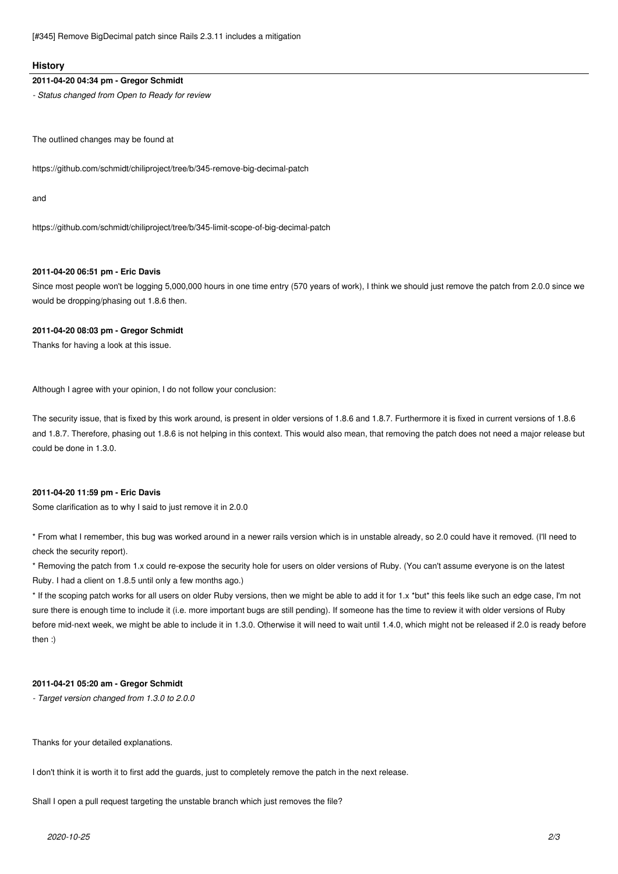[#345] Remove BigDecimal patch since Rails 2.3.11 includes a mitigation

#### **History**

#### **2011-04-20 04:34 pm - Gregor Schmidt**

*- Status changed from Open to Ready for review*

The outlined changes may be found at

https://github.com/schmidt/chiliproject/tree/b/345-remove-big-decimal-patch

and

https://github.com/schmidt/chiliproject/tree/b/345-limit-scope-of-big-decimal-patch

# **2011-04-20 06:51 pm - Eric Davis**

Since most people won't be logging 5,000,000 hours in one time entry (570 years of work), I think we should just remove the patch from 2.0.0 since we would be dropping/phasing out 1.8.6 then.

#### **2011-04-20 08:03 pm - Gregor Schmidt**

Thanks for having a look at this issue.

Although I agree with your opinion, I do not follow your conclusion:

The security issue, that is fixed by this work around, is present in older versions of 1.8.6 and 1.8.7. Furthermore it is fixed in current versions of 1.8.6 and 1.8.7. Therefore, phasing out 1.8.6 is not helping in this context. This would also mean, that removing the patch does not need a major release but could be done in 1.3.0.

# **2011-04-20 11:59 pm - Eric Davis**

Some clarification as to why I said to just remove it in 2.0.0

\* From what I remember, this bug was worked around in a newer rails version which is in unstable already, so 2.0 could have it removed. (I'll need to check the security report).

\* Removing the patch from 1.x could re-expose the security hole for users on older versions of Ruby. (You can't assume everyone is on the latest Ruby. I had a client on 1.8.5 until only a few months ago.)

\* If the scoping patch works for all users on older Ruby versions, then we might be able to add it for 1.x \*but\* this feels like such an edge case, I'm not sure there is enough time to include it (i.e. more important bugs are still pending). If someone has the time to review it with older versions of Ruby before mid-next week, we might be able to include it in 1.3.0. Otherwise it will need to wait until 1.4.0, which might not be released if 2.0 is ready before then :)

#### **2011-04-21 05:20 am - Gregor Schmidt**

*- Target version changed from 1.3.0 to 2.0.0*

Thanks for your detailed explanations.

I don't think it is worth it to first add the guards, just to completely remove the patch in the next release.

Shall I open a pull request targeting the unstable branch which just removes the file?